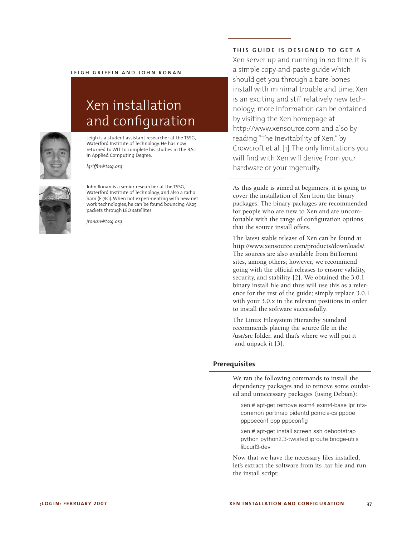

# Xen installation and configuration



Leigh is a student assistant researcher at the TSSG, Waterford Institute of Technology. He has now returned to WIT to complete his studies in the B.Sc. in Applied Computing Degree.

*lgriffin@tssg.org*



John Ronan is a senior researcher at the TSSG, Waterford Institute of Technology, and also a radio ham (EI7IG). When not experimenting with new network technologies, he can be found bouncing AX25 packets through LEO satellites.

*jronan@tssg.org*

## **TH I S G U I D E I S D E S I G N E D T O G E T A**

Xen server up and running in no time. It is a simple copy-and-paste guide which should get you through a bare-bones install with minimal trouble and time. Xen is an exciting and still relatively new technology; more information can be obtained by visiting the Xen homepage at http://www.xensource.com and also by reading "The Inevitability of Xen," by Crowcroft et al. [1]. The only limitations you will find with Xen will derive from your hardware or your ingenuity.

As this guide is aimed at beginners, it is going to cover the installation of Xen from the binary packages. The binary packages are recommended for people who are new to Xen and are uncomfortable with the range of configuration options that the source install offers.

The latest stable release of Xen can be found at http://www.xensource.com/products/downloads/. The sources are also available from BitTorrent sites, among others; however, we recommend going with the official releases to ensure validity, security, and stability [2]. We obtained the 3.0.1 binary install file and thus will use this as a reference for the rest of the guide; simply replace 3.0.1 with your 3.0.x in the relevant positions in order to install the software successfully.

The Linux Filesystem Hierarchy Standard recommends placing the source file in the /usr/src folder, and that's where we will put it and unpack it [3].

#### **Prerequisites**

We ran the following commands to install the dependency packages and to remove some outdated and unnecessary packages (using Debian):

xen:# apt-get remove exim4 exim4-base lpr nfscommon portmap pidentd pcmcia-cs pppoe pppoeconf ppp pppconfig

xen:# apt-get install screen ssh debootstrap python python2.3-twisted iproute bridge-utils libcurl3-dev

Now that we have the necessary files installed, let's extract the software from its .tar file and run the install script: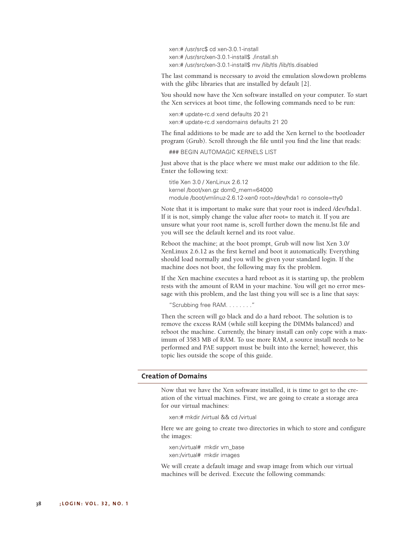xen:# /usr/src\$ cd xen-3.0.1-install xen:# /usr/src/xen-3.0.1-install\$ ./install.sh xen:# /usr/src/xen-3.0.1-install\$ mv /lib/tls /lib/tls.disabled

The last command is necessary to avoid the emulation slowdown problems with the glibc libraries that are installed by default [2].

You should now have the Xen software installed on your computer. To start the Xen services at boot time, the following commands need to be run:

xen:# update-rc.d xend defaults 20 21 xen:# update-rc.d xendomains defaults 21 20

The final additions to be made are to add the Xen kernel to the bootloader program (Grub). Scroll through the file until you find the line that reads:

### BEGIN AUTOMAGIC KERNELS LIST

Just above that is the place where we must make our addition to the file. Enter the following text:

title Xen 3.0 / XenLinux 2.6.12 kernel /boot/xen.gz dom0\_mem=64000 module /boot/vmlinuz-2.6.12-xen0 root=/dev/hda1 ro console=tty0

Note that it is important to make sure that your root is indeed /dev/hda1. If it is not, simply change the value after root= to match it. If you are unsure what your root name is, scroll further down the menu.lst file and you will see the default kernel and its root value.

Reboot the machine; at the boot prompt, Grub will now list Xen 3.0/ XenLinux 2.6.12 as the first kernel and boot it automatically. Everything should load normally and you will be given your standard login. If the machine does not boot, the following may fix the problem.

If the Xen machine executes a hard reboot as it is starting up, the problem rests with the amount of RAM in your machine. You will get no error message with this problem, and the last thing you will see is a line that says:

"Scrubbing free RAM. . . . . . . ."

Then the screen will go black and do a hard reboot. The solution is to remove the excess RAM (while still keeping the DIMMs balanced) and reboot the machine. Currently, the binary install can only cope with a maximum of 3583 MB of RAM. To use more RAM, a source install needs to be performed and PAE support must be built into the kernel; however, this topic lies outside the scope of this guide.

## **Creation of Domains**

Now that we have the Xen software installed, it is time to get to the creation of the virtual machines. First, we are going to create a storage area for our virtual machines:

xen:# mkdir /virtual && cd /virtual

Here we are going to create two directories in which to store and configure the images:

xen:/virtual# mkdir vm\_base xen:/virtual# mkdir images

We will create a default image and swap image from which our virtual machines will be derived. Execute the following commands: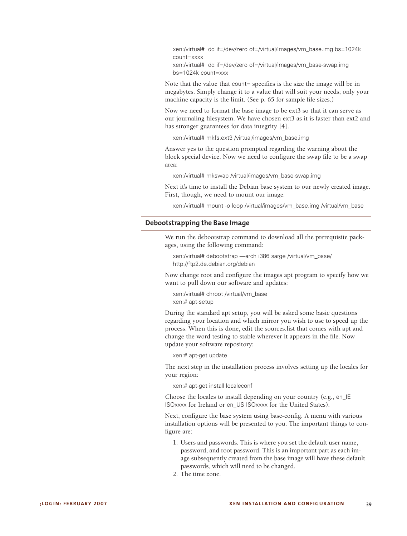xen:/virtual# dd if=/dev/zero of=/virtual/images/vm\_base.img bs=1024k count=xxxx xen:/virtual# dd if=/dev/zero of=/virtual/images/vm\_base-swap.img

bs=1024k count=xxx

Note that the value that count= specifies is the size the image will be in megabytes. Simply change it to a value that will suit your needs; only your machine capacity is the limit. (See p. 65 for sample file sizes.)

Now we need to format the base image to be ext3 so that it can serve as our journaling filesystem. We have chosen ext3 as it is faster than ext2 and has stronger guarantees for data integrity [4].

xen:/virtual# mkfs.ext3 /virtual/images/vm\_base.img

Answer yes to the question prompted regarding the warning about the block special device. Now we need to configure the swap file to be a swap area:

xen:/virtual# mkswap /virtual/images/vm\_base-swap.img

Next it's time to install the Debian base system to our newly created image. First, though, we need to mount our image:

xen:/virtual# mount -o loop /virtual/images/vm\_base.img /virtual/vm\_base

#### **Debootstrapping the Base Image**

We run the debootstrap command to download all the prerequisite packages, using the following command:

xen:/virtual# debootstrap —arch i386 sarge /virtual/vm\_base/ http://ftp2.de.debian.org/debian

Now change root and configure the images apt program to specify how we want to pull down our software and updates:

xen:/virtual# chroot /virtual/vm\_base xen:# apt-setup

During the standard apt setup, you will be asked some basic questions regarding your location and which mirror you wish to use to speed up the process. When this is done, edit the sources.list that comes with apt and change the word testing to stable wherever it appears in the file. Now update your software repository:

xen:# apt-get update

The next step in the installation process involves setting up the locales for your region:

xen:# apt-get install localeconf

Choose the locales to install depending on your country (e.g., en\_IE ISOxxxx for Ireland or en\_US ISOxxxx for the United States).

Next, configure the base system using base-config. A menu with various installation options will be presented to you. The important things to configure are:

- 1. Users and passwords. This is where you set the default user name, password, and root password. This is an important part as each image subsequently created from the base image will have these default passwords, which will need to be changed.
- 2. The time zone.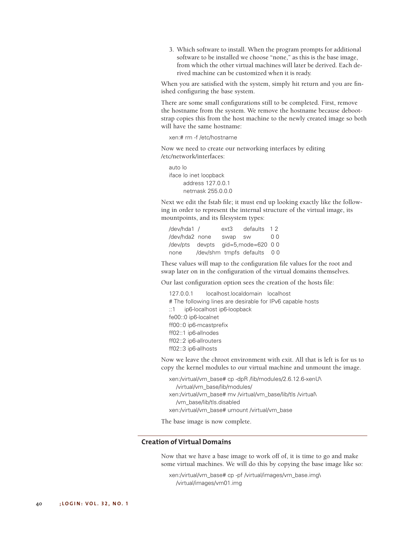3. Which software to install. When the program prompts for additional software to be installed we choose "none," as this is the base image, from which the other virtual machines will later be derived. Each derived machine can be customized when it is ready.

When you are satisfied with the system, simply hit return and you are finished configuring the base system.

There are some small configurations still to be completed. First, remove the hostname from the system. We remove the hostname because debootstrap copies this from the host machine to the newly created image so both will have the same hostname:

xen:# rm -f /etc/hostname

Now we need to create our networking interfaces by editing /etc/network/interfaces:

auto lo iface lo inet loopback address 127.0.0.1 netmask 255.0.0.0

Next we edit the fstab file; it must end up looking exactly like the following in order to represent the internal structure of the virtual image, its mountpoints, and its filesystem types:

/dev/hda1 / ext3 defaults 1 2 /dev/hda2 none swap sw 0 0 /dev/pts devpts gid=5,mode=620 0 0 none /dev/shm tmpfs defaults 0 0

These values will map to the configuration file values for the root and swap later on in the configuration of the virtual domains themselves.

Our last configuration option sees the creation of the hosts file:

127.0.0.1 localhost.localdomain localhost # The following lines are desirable for IPv6 capable hosts ::1 ip6-localhost ip6-loopback fe00::0 ip6-localnet ff00::0 ip6-mcastprefix ff02::1 ip6-allnodes ff02::2 ip6-allrouters ff02::3 ip6-allhosts

Now we leave the chroot environment with exit. All that is left is for us to copy the kernel modules to our virtual machine and unmount the image.

xen:/virtual/vm\_base# cp -dpR /lib/modules/2.6.12.6-xenU\ /virtual/vm\_base/lib/modules/ xen:/virtual/vm\_base# mv /virtual/vm\_base/lib/tls /virtual\ /vm\_base/lib/tls.disabled xen:/virtual/vm\_base# umount /virtual/vm\_base

The base image is now complete.

## **Creation of Virtual Domains**

Now that we have a base image to work off of, it is time to go and make some virtual machines. We will do this by copying the base image like so:

xen:/virtual/vm\_base# cp -pf /virtual/images/vm\_base.img\ /virtual/images/vm01.img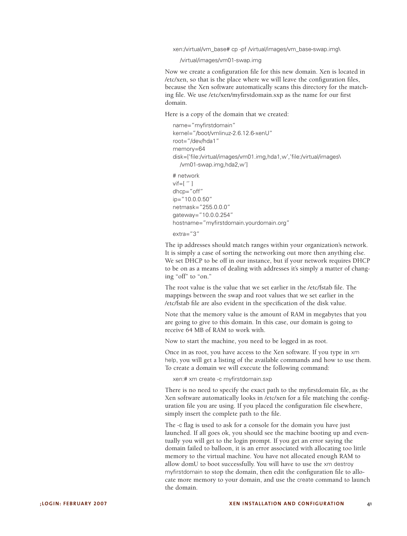xen:/virtual/vm\_base# cp -pf /virtual/images/vm\_base-swap.img\

/virtual/images/vm01-swap.img

Now we create a configuration file for this new domain. Xen is located in /etc/xen, so that is the place where we will leave the configuration files, because the Xen software automatically scans this directory for the matching file. We use /etc/xen/myfirstdomain.sxp as the name for our first domain.

Here is a copy of the domain that we created:

```
name="myfirstdomain"
kernel="/boot/vmlinuz-2.6.12.6-xenU"
root="/dev/hda1"
memory=64
disk=['file:/virtual/images/vm01.img,hda1,w','file:/virtual/images\
  /vm01-swap.img,hda2,w']
# network
vif=[ " ]
dhcp="off"
ip="10.0.0.50"
netmask="255.0.0.0"
gateway="10.0.0.254"
hostname="myfirstdomain.yourdomain.org"
```
extra="3"

The ip addresses should match ranges within your organization's network. It is simply a case of sorting the networking out more then anything else. We set DHCP to be off in our instance, but if your network requires DHCP to be on as a means of dealing with addresses it's simply a matter of changing "off" to "on."

The root value is the value that we set earlier in the /etc/fstab file. The mappings between the swap and root values that we set earlier in the /etc/fstab file are also evident in the specification of the disk value.

Note that the memory value is the amount of RAM in megabytes that you are going to give to this domain. In this case, our domain is going to receive 64 MB of RAM to work with.

Now to start the machine, you need to be logged in as root.

Once in as root, you have access to the Xen software. If you type in xm help, you will get a listing of the available commands and how to use them. To create a domain we will execute the following command:

xen:# xm create -c myfirstdomain.sxp

There is no need to specify the exact path to the myfirstdomain file, as the Xen software automatically looks in /etc/xen for a file matching the configuration file you are using. If you placed the configuration file elsewhere, simply insert the complete path to the file.

The -c flag is used to ask for a console for the domain you have just launched. If all goes ok, you should see the machine booting up and eventually you will get to the login prompt. If you get an error saying the domain failed to balloon, it is an error associated with allocating too little memory to the virtual machine. You have not allocated enough RAM to allow domU to boot successfully. You will have to use the xm destroy myfirstdomain to stop the domain, then edit the configuration file to allocate more memory to your domain, and use the create command to launch the domain.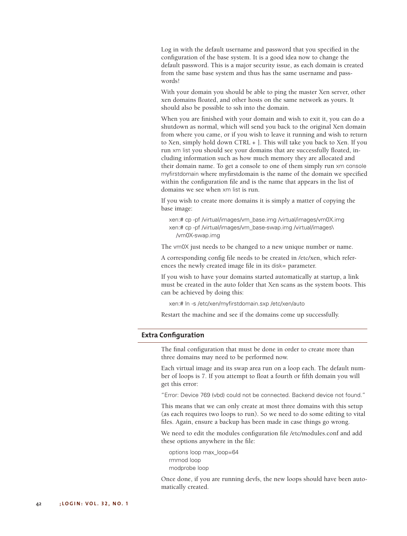Log in with the default username and password that you specified in the configuration of the base system. It is a good idea now to change the default password. This is a major security issue, as each domain is created from the same base system and thus has the same username and passwords!

With your domain you should be able to ping the master Xen server, other xen domains floated, and other hosts on the same network as yours. It should also be possible to ssh into the domain.

When you are finished with your domain and wish to exit it, you can do a shutdown as normal, which will send you back to the original Xen domain from where you came, or if you wish to leave it running and wish to return to Xen, simply hold down CTRL + ]. This will take you back to Xen. If you run xm list you should see your domains that are successfully floated, including information such as how much memory they are allocated and their domain name. To get a console to one of them simply run xm console myfirstdomain where myfirstdomain is the name of the domain we specified within the configuration file and is the name that appears in the list of domains we see when xm list is run.

If you wish to create more domains it is simply a matter of copying the base image:

xen:# cp -pf /virtual/images/vm\_base.img /virtual/images/vm0X.img xen:# cp -pf /virtual/images/vm\_base-swap.img /virtual/images\ /vm0X-swap.img

The vm0X just needs to be changed to a new unique number or name.

A corresponding config file needs to be created in /etc/xen, which references the newly created image file in its disk= parameter.

If you wish to have your domains started automatically at startup, a link must be created in the auto folder that Xen scans as the system boots. This can be achieved by doing this:

xen:# ln -s /etc/xen/myfirstdomain.sxp /etc/xen/auto

Restart the machine and see if the domains come up successfully.

#### **Extra Configuration**

The final configuration that must be done in order to create more than three domains may need to be performed now.

Each virtual image and its swap area run on a loop each. The default number of loops is 7. If you attempt to float a fourth or fifth domain you will get this error:

"Error: Device 769 (vbd) could not be connected. Backend device not found."

This means that we can only create at most three domains with this setup (as each requires two loops to run). So we need to do some editing to vital files. Again, ensure a backup has been made in case things go wrong.

We need to edit the modules configuration file /etc/modules.conf and add these options anywhere in the file:

options loop max\_loop=64 rmmod loop modprobe loop

Once done, if you are running devfs, the new loops should have been automatically created.